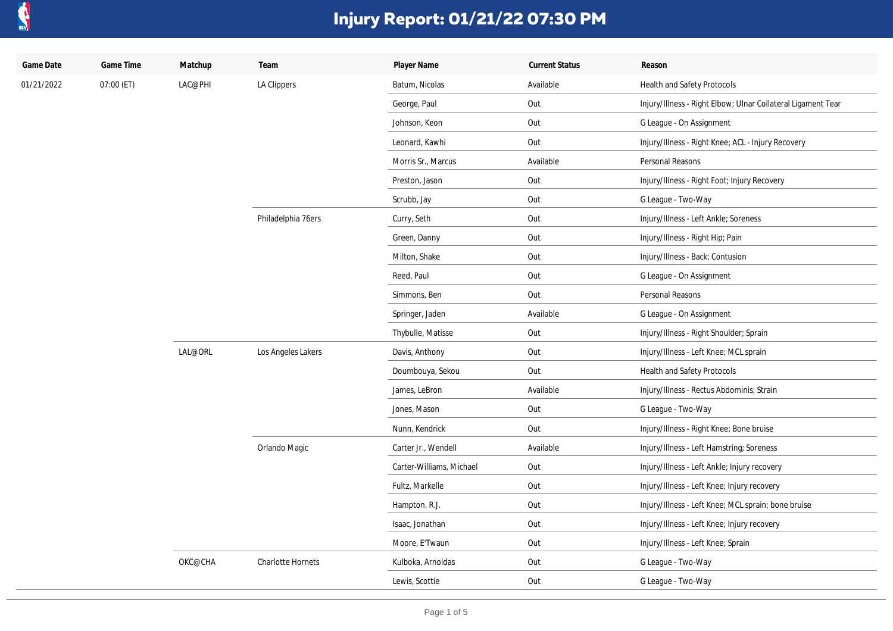

| Game Date  | Game Time  | Matchup | Team                     | Player Name              | <b>Current Status</b> | Reason                                                       |
|------------|------------|---------|--------------------------|--------------------------|-----------------------|--------------------------------------------------------------|
| 01/21/2022 | 07:00 (ET) | LAC@PHI | LA Clippers              | Batum, Nicolas           | Available             | Health and Safety Protocols                                  |
|            |            |         |                          | George, Paul             | Out                   | Injury/Illness - Right Elbow; Ulnar Collateral Ligament Tear |
|            |            |         |                          | Johnson, Keon            | Out                   | G League - On Assignment                                     |
|            |            |         |                          | Leonard, Kawhi           | Out                   | Injury/Illness - Right Knee; ACL - Injury Recovery           |
|            |            |         |                          | Morris Sr., Marcus       | Available             | Personal Reasons                                             |
|            |            |         |                          | Preston, Jason           | Out                   | Injury/Illness - Right Foot; Injury Recovery                 |
|            |            |         |                          | Scrubb, Jay              | Out                   | G League - Two-Way                                           |
|            |            |         | Philadelphia 76ers       | Curry, Seth              | Out                   | Injury/Illness - Left Ankle; Soreness                        |
|            |            |         |                          | Green, Danny             | Out                   | Injury/Illness - Right Hip; Pain                             |
|            |            |         |                          | Milton, Shake            | Out                   | Injury/Illness - Back; Contusion                             |
|            |            |         |                          | Reed, Paul               | Out                   | G League - On Assignment                                     |
|            |            |         |                          | Simmons, Ben             | Out                   | Personal Reasons                                             |
|            |            |         |                          | Springer, Jaden          | Available             | G League - On Assignment                                     |
|            |            |         |                          | Thybulle, Matisse        | Out                   | Injury/Illness - Right Shoulder; Sprain                      |
|            |            | LAL@ORL | Los Angeles Lakers       | Davis, Anthony           | Out                   | Injury/Illness - Left Knee; MCL sprain                       |
|            |            |         |                          | Doumbouya, Sekou         | Out                   | Health and Safety Protocols                                  |
|            |            |         |                          | James, LeBron            | Available             | Injury/Illness - Rectus Abdominis; Strain                    |
|            |            |         |                          | Jones, Mason             | Out                   | G League - Two-Way                                           |
|            |            |         |                          | Nunn, Kendrick           | Out                   | Injury/Illness - Right Knee; Bone bruise                     |
|            |            |         | Orlando Magic            | Carter Jr., Wendell      | Available             | Injury/Illness - Left Hamstring; Soreness                    |
|            |            |         |                          | Carter-Williams, Michael | Out                   | Injury/Illness - Left Ankle; Injury recovery                 |
|            |            |         |                          | Fultz, Markelle          | Out                   | Injury/Illness - Left Knee; Injury recovery                  |
|            |            |         |                          | Hampton, R.J.            | Out                   | Injury/Illness - Left Knee; MCL sprain; bone bruise          |
|            |            |         |                          | Isaac, Jonathan          | Out                   | Injury/Illness - Left Knee; Injury recovery                  |
|            |            |         |                          | Moore, E'Twaun           | Out                   | Injury/Illness - Left Knee; Sprain                           |
|            |            | OKC@CHA | <b>Charlotte Hornets</b> | Kulboka, Arnoldas        | Out                   | G League - Two-Way                                           |
|            |            |         |                          | Lewis, Scottie           | Out                   | G League - Two-Way                                           |
|            |            |         |                          |                          |                       |                                                              |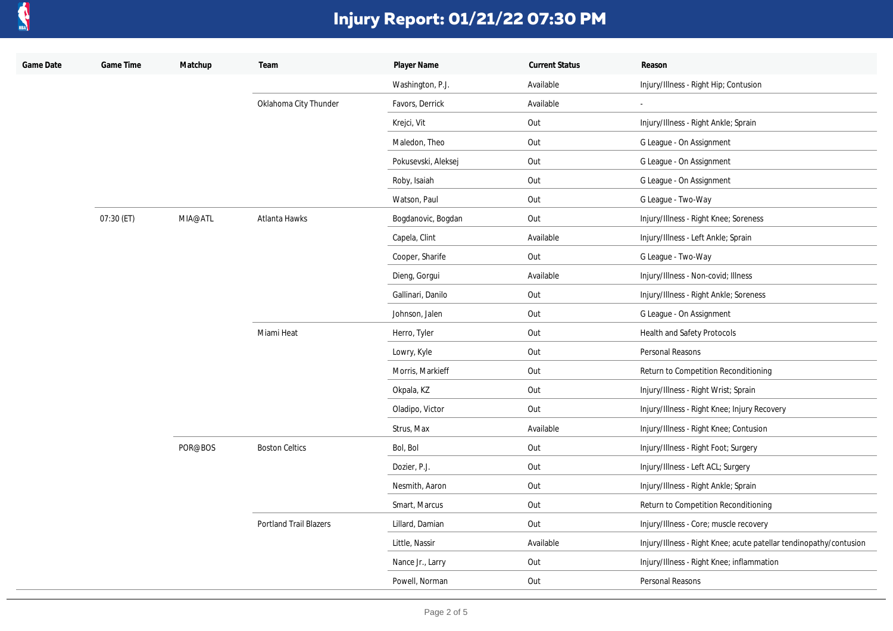

| Game Date | Game Time  | Matchup | Team                          | Player Name         | <b>Current Status</b> | Reason                                                             |
|-----------|------------|---------|-------------------------------|---------------------|-----------------------|--------------------------------------------------------------------|
|           |            |         |                               | Washington, P.J.    | Available             | Injury/Illness - Right Hip; Contusion                              |
|           |            |         | Oklahoma City Thunder         | Favors, Derrick     | Available             | $\overline{\phantom{a}}$                                           |
|           |            |         |                               | Krejci, Vit         | Out                   | Injury/Illness - Right Ankle; Sprain                               |
|           |            |         |                               | Maledon, Theo       | Out                   | G League - On Assignment                                           |
|           |            |         |                               | Pokusevski, Aleksej | Out                   | G League - On Assignment                                           |
|           |            |         |                               | Roby, Isaiah        | Out                   | G League - On Assignment                                           |
|           |            |         |                               | Watson, Paul        | Out                   | G League - Two-Way                                                 |
|           | 07:30 (ET) | MIA@ATL | Atlanta Hawks                 | Bogdanovic, Bogdan  | Out                   | Injury/Illness - Right Knee; Soreness                              |
|           |            |         |                               | Capela, Clint       | Available             | Injury/Illness - Left Ankle; Sprain                                |
|           |            |         |                               | Cooper, Sharife     | Out                   | G League - Two-Way                                                 |
|           |            |         |                               | Dieng, Gorgui       | Available             | Injury/Illness - Non-covid; Illness                                |
|           |            |         |                               | Gallinari, Danilo   | Out                   | Injury/Illness - Right Ankle; Soreness                             |
|           |            |         |                               | Johnson, Jalen      | Out                   | G League - On Assignment                                           |
|           |            |         | Miami Heat                    | Herro, Tyler        | Out                   | Health and Safety Protocols                                        |
|           |            |         |                               | Lowry, Kyle         | Out                   | Personal Reasons                                                   |
|           |            |         |                               | Morris, Markieff    | Out                   | Return to Competition Reconditioning                               |
|           |            |         |                               | Okpala, KZ          | Out                   | Injury/Illness - Right Wrist; Sprain                               |
|           |            |         |                               | Oladipo, Victor     | Out                   | Injury/Illness - Right Knee; Injury Recovery                       |
|           |            | POR@BOS |                               | Strus, Max          | Available             | Injury/Illness - Right Knee; Contusion                             |
|           |            |         | <b>Boston Celtics</b>         | Bol, Bol            | Out                   | Injury/Illness - Right Foot; Surgery                               |
|           |            |         |                               | Dozier, P.J.        | Out                   | Injury/Illness - Left ACL; Surgery                                 |
|           |            |         |                               | Nesmith, Aaron      | Out                   | Injury/Illness - Right Ankle; Sprain                               |
|           |            |         |                               | Smart, Marcus       | Out                   | Return to Competition Reconditioning                               |
|           |            |         | <b>Portland Trail Blazers</b> | Lillard, Damian     | Out                   | Injury/Illness - Core; muscle recovery                             |
|           |            |         |                               | Little, Nassir      | Available             | Injury/Illness - Right Knee; acute patellar tendinopathy/contusion |
|           |            |         |                               | Nance Jr., Larry    | Out                   | Injury/Illness - Right Knee; inflammation                          |
|           |            |         |                               | Powell, Norman      | Out                   | Personal Reasons                                                   |
|           |            |         |                               |                     |                       |                                                                    |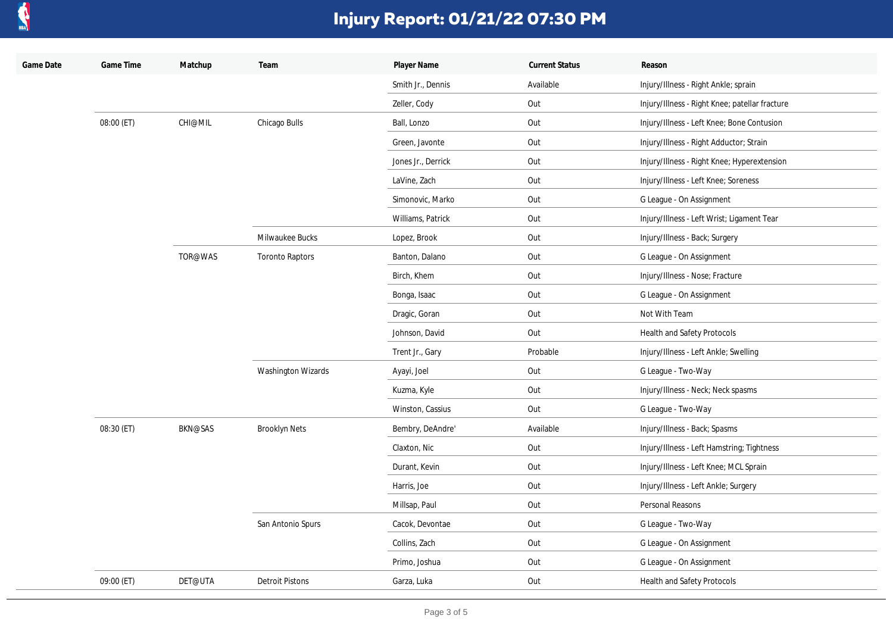

| Game Date | Game Time  | Matchup        | Team                   | Player Name        | <b>Current Status</b> | Reason                                         |
|-----------|------------|----------------|------------------------|--------------------|-----------------------|------------------------------------------------|
|           |            |                |                        | Smith Jr., Dennis  | Available             | Injury/Illness - Right Ankle; sprain           |
|           |            |                |                        | Zeller, Cody       | Out                   | Injury/Illness - Right Knee; patellar fracture |
|           | 08:00 (ET) | <b>CHI@MIL</b> | Chicago Bulls          | Ball, Lonzo        | Out                   | Injury/Illness - Left Knee; Bone Contusion     |
|           |            |                |                        | Green, Javonte     | Out                   | Injury/Illness - Right Adductor; Strain        |
|           |            |                |                        | Jones Jr., Derrick | Out                   | Injury/Illness - Right Knee; Hyperextension    |
|           |            |                |                        | LaVine, Zach       | Out                   | Injury/Illness - Left Knee; Soreness           |
|           |            |                |                        | Simonovic, Marko   | Out                   | G League - On Assignment                       |
|           |            |                |                        | Williams, Patrick  | Out                   | Injury/Illness - Left Wrist; Ligament Tear     |
|           |            |                | Milwaukee Bucks        | Lopez, Brook       | Out                   | Injury/Illness - Back; Surgery                 |
|           |            | TOR@WAS        | <b>Toronto Raptors</b> | Banton, Dalano     | Out                   | G League - On Assignment                       |
|           |            |                |                        | Birch, Khem        | Out                   | Injury/Illness - Nose; Fracture                |
|           |            |                |                        | Bonga, Isaac       | Out                   | G League - On Assignment                       |
|           |            |                |                        | Dragic, Goran      | Out                   | Not With Team                                  |
|           |            |                |                        | Johnson, David     | Out                   | Health and Safety Protocols                    |
|           |            |                |                        | Trent Jr., Gary    | Probable              | Injury/Illness - Left Ankle; Swelling          |
|           |            |                | Washington Wizards     | Ayayi, Joel        | Out                   | G League - Two-Way                             |
|           |            |                |                        | Kuzma, Kyle        | Out                   | Injury/Illness - Neck; Neck spasms             |
|           |            |                |                        | Winston, Cassius   | Out                   | G League - Two-Way                             |
|           | 08:30 (ET) | <b>BKN@SAS</b> | <b>Brooklyn Nets</b>   | Bembry, DeAndre'   | Available             | Injury/Illness - Back; Spasms                  |
|           |            |                |                        | Claxton, Nic       | Out                   | Injury/Illness - Left Hamstring; Tightness     |
|           |            |                |                        | Durant, Kevin      | Out                   | Injury/Illness - Left Knee; MCL Sprain         |
|           |            |                | San Antonio Spurs      | Harris, Joe        | Out                   | Injury/Illness - Left Ankle; Surgery           |
|           |            |                |                        | Millsap, Paul      | Out                   | Personal Reasons                               |
|           |            |                |                        | Cacok, Devontae    | Out                   | G League - Two-Way                             |
|           |            |                |                        | Collins, Zach      | Out                   | G League - On Assignment                       |
|           |            |                |                        | Primo, Joshua      | Out                   | G League - On Assignment                       |
|           | 09:00 (ET) | DET@UTA        | <b>Detroit Pistons</b> | Garza, Luka        | Out                   | Health and Safety Protocols                    |
|           |            |                |                        |                    |                       |                                                |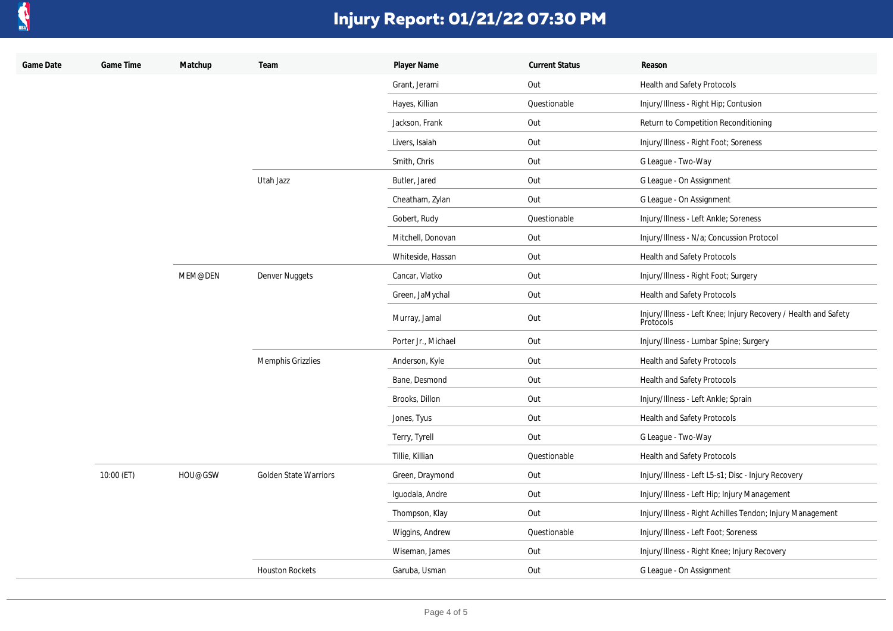

| Game Date | Game Time  | Matchup | Team                         | Player Name         | <b>Current Status</b> | Reason                                                                       |
|-----------|------------|---------|------------------------------|---------------------|-----------------------|------------------------------------------------------------------------------|
|           |            |         |                              | Grant, Jerami       | Out                   | Health and Safety Protocols                                                  |
|           |            |         |                              | Hayes, Killian      | Questionable          | Injury/Illness - Right Hip; Contusion                                        |
|           |            |         |                              | Jackson, Frank      | Out                   | Return to Competition Reconditioning                                         |
|           |            |         |                              | Livers, Isaiah      | Out                   | Injury/Illness - Right Foot; Soreness                                        |
|           |            |         |                              | Smith, Chris        | Out                   | G League - Two-Way                                                           |
|           |            |         | Utah Jazz                    | Butler, Jared       | Out                   | G League - On Assignment                                                     |
|           |            |         |                              | Cheatham, Zylan     | Out                   | G League - On Assignment                                                     |
|           |            |         |                              | Gobert, Rudy        | Questionable          | Injury/Illness - Left Ankle; Soreness                                        |
|           |            |         |                              | Mitchell, Donovan   | Out                   | Injury/Illness - N/a; Concussion Protocol                                    |
|           |            |         |                              | Whiteside, Hassan   | Out                   | Health and Safety Protocols                                                  |
|           |            | MEM@DEN | Denver Nuggets               | Cancar, Vlatko      | Out                   | Injury/Illness - Right Foot; Surgery                                         |
|           |            |         |                              | Green, JaMychal     | Out                   | Health and Safety Protocols                                                  |
|           |            |         |                              | Murray, Jamal       | Out                   | Injury/Illness - Left Knee; Injury Recovery / Health and Safety<br>Protocols |
|           |            |         |                              | Porter Jr., Michael | Out                   | Injury/Illness - Lumbar Spine; Surgery                                       |
|           |            |         | Memphis Grizzlies            | Anderson, Kyle      | Out                   | Health and Safety Protocols                                                  |
|           |            |         |                              | Bane, Desmond       | Out                   | Health and Safety Protocols                                                  |
|           |            |         |                              | Brooks, Dillon      | Out                   | Injury/Illness - Left Ankle; Sprain                                          |
|           |            |         |                              | Jones, Tyus         | Out                   | Health and Safety Protocols                                                  |
|           |            |         |                              | Terry, Tyrell       | Out                   | G League - Two-Way                                                           |
|           |            |         |                              | Tillie, Killian     | Questionable          | Health and Safety Protocols                                                  |
|           | 10:00 (ET) | HOU@GSW | <b>Golden State Warriors</b> | Green, Draymond     | Out                   | Injury/Illness - Left L5-s1; Disc - Injury Recovery                          |
|           |            |         |                              | Iguodala, Andre     | Out                   | Injury/Illness - Left Hip; Injury Management                                 |
|           |            |         |                              | Thompson, Klay      | Out                   | Injury/Illness - Right Achilles Tendon; Injury Management                    |
|           |            |         |                              | Wiggins, Andrew     | Questionable          | Injury/Illness - Left Foot; Soreness                                         |
|           |            |         |                              | Wiseman, James      | Out                   | Injury/Illness - Right Knee; Injury Recovery                                 |
|           |            |         | <b>Houston Rockets</b>       | Garuba, Usman       | Out                   | G League - On Assignment                                                     |
|           |            |         |                              |                     |                       |                                                                              |